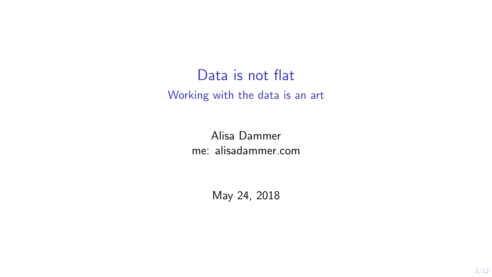Data is not flat Working with the data is an art

> Alisa Dammer me: alisadammer.com

> > May 24, 2018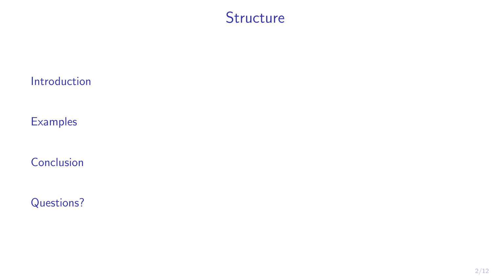### **Structure**

#### [Introduction](#page-2-0)

**[Examples](#page-6-0)** 

[Conclusion](#page-8-0)

[Questions?](#page-9-0)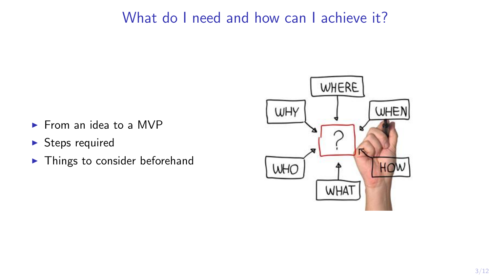# <span id="page-2-0"></span>What do I need and how can I achieve it?

- $\blacktriangleright$  From an idea to a MVP
- $\blacktriangleright$  Steps required
- $\blacktriangleright$  Things to consider beforehand

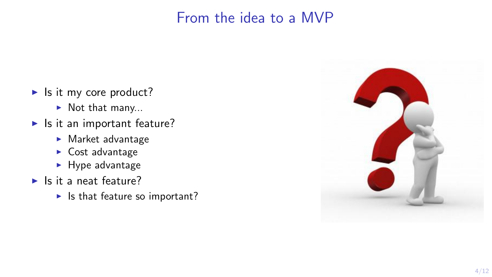# From the idea to a MVP

- $\blacktriangleright$  Is it my core product?
	- $\blacktriangleright$  Not that many...
- $\blacktriangleright$  Is it an important feature?
	- $\blacktriangleright$  Market advantage
	- $\triangleright$  Cost advantage
	- $\blacktriangleright$  Hype advantage
- $\blacktriangleright$  Is it a neat feature?
	- $\blacktriangleright$  Is that feature so important?

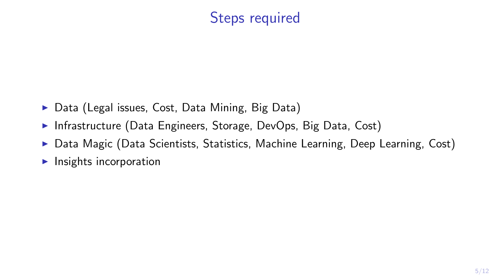# Steps required

- $\triangleright$  Data (Legal issues, Cost, Data Mining, Big Data)
- Infrastructure (Data Engineers, Storage, DevOps, Big Data, Cost)
- $\triangleright$  Data Magic (Data Scientists, Statistics, Machine Learning, Deep Learning, Cost)
- $\blacktriangleright$  Insights incorporation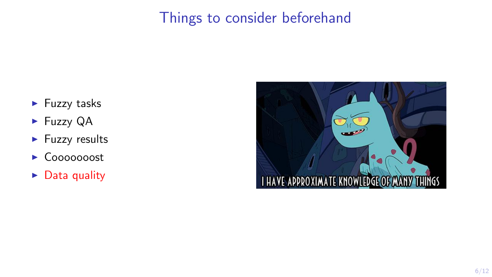# Things to consider beforehand

- $\blacktriangleright$  Fuzzy tasks
- $\blacktriangleright$  Fuzzy QA
- $\blacktriangleright$  Fuzzy results
- ► Cooooooost
- $\triangleright$  Data quality

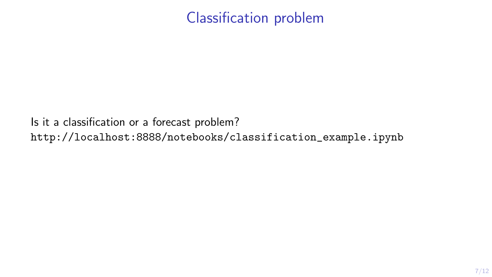# Classification problem

<span id="page-6-0"></span>Is it a classification or a forecast problem? [http://localhost:8888/notebooks/classification\\_example.ipynb](http://localhost:8888/notebooks/classification_example.ipynb)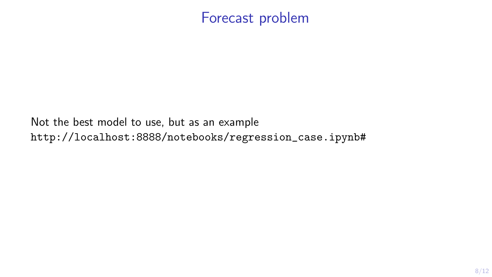### Forecast problem

Not the best model to use, but as an example [http://localhost:8888/notebooks/regression\\_case.ipynb#](http://localhost:8888/notebooks/regression_case.ipynb##)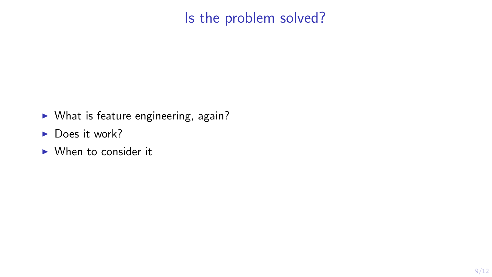# Is the problem solved?

- <span id="page-8-0"></span> $\triangleright$  What is feature engineering, again?
- $\blacktriangleright$  Does it work?
- $\triangleright$  When to consider it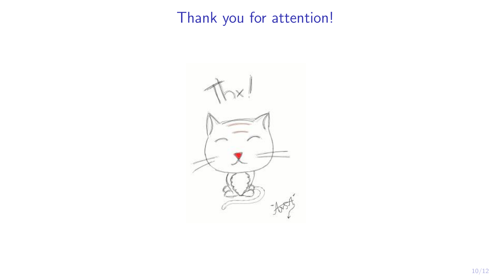# <span id="page-9-0"></span>Thank you for attention!

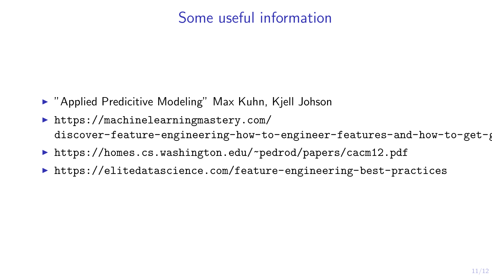# Some useful information

- ▶ "Applied Predicitive Modeling" Max Kuhn, Kjell Johson
- $\blacktriangleright$  [https://machinelearningmastery.com/](https://machinelearningmastery.com/discover-feature-engineering-how-to-engineer-features-and-how-to-get-good-at-it/) discover-feature-engineering-how-to-engineer-features-and-how-to-get-
- ▶ <https://homes.cs.washington.edu/~pedrod/papers/cacm12.pdf>
- ▶ <https://elitedatascience.com/feature-engineering-best-practices>